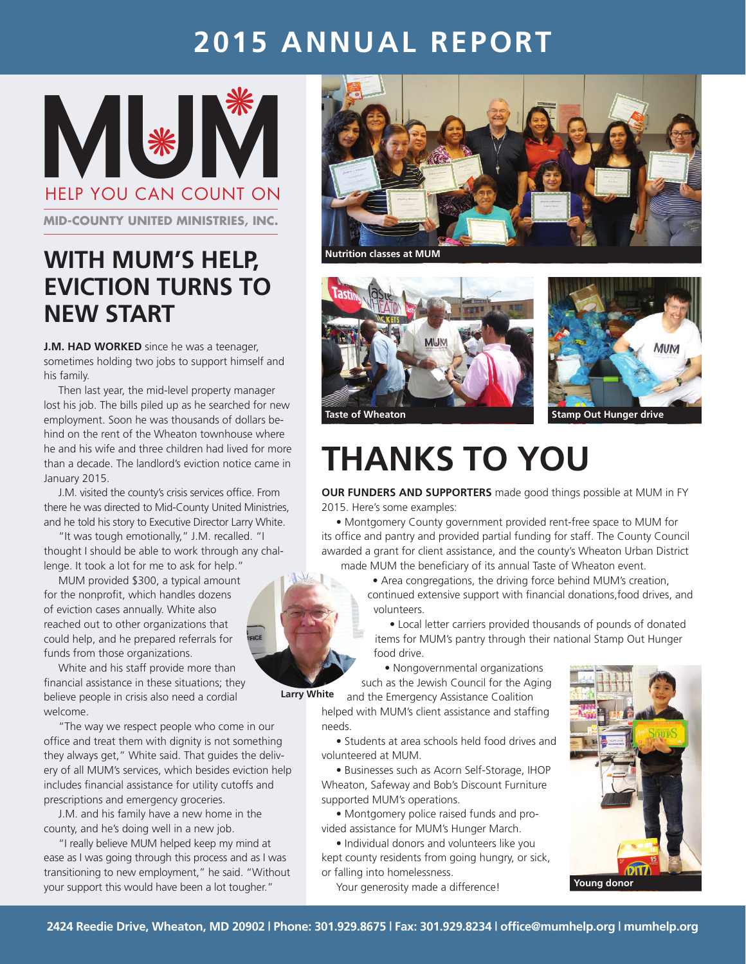# **2015 Annual Report**

**MUMPER YOU CAN COUNT ON** help you can count on \*

**mid-county united ministries, inc.**

## **With MUM's Help, Eviction Turns to New Start**

**J.M. HAD WORKED** since he was a teenager, sometimes holding two jobs to support himself and his family.

Then last year, the mid-level property manager lost his job. The bills piled up as he searched for new employment. Soon he was thousands of dollars behind on the rent of the Wheaton townhouse where he and his wife and three children had lived for more than a decade. The landlord's eviction notice came in January 2015.

J.M. visited the county's crisis services office. From there he was directed to Mid-County United Ministries, and he told his story to Executive Director Larry White.

"It was tough emotionally," J.M. recalled. "I thought I should be able to work through any challenge. It took a lot for me to ask for help."

MUM provided \$300, a typical amount for the nonprofit, which handles dozens of eviction cases annually. White also reached out to other organizations that could help, and he prepared referrals for funds from those organizations.

White and his staff provide more than financial assistance in these situations; they believe people in crisis also need a cordial welcome.

"The way we respect people who come in our office and treat them with dignity is not something they always get," White said. That guides the delivery of all MUM's services, which besides eviction help includes financial assistance for utility cutoffs and prescriptions and emergency groceries.

J.M. and his family have a new home in the county, and he's doing well in a new job.

"I really believe MUM helped keep my mind at ease as I was going through this process and as I was transitioning to new employment," he said. "Without your support this would have been a lot tougher."



**Nutrition classes at MUM**



# **Thanks To You**

**Our funders and supporters** made good things possible at MUM in FY 2015. Here's some examples:

• Montgomery County government provided rent-free space to MUM for its office and pantry and provided partial funding for staff. The County Council awarded a grant for client assistance, and the county's Wheaton Urban District made MUM the beneficiary of its annual Taste of Wheaton event.

> • Area congregations, the driving force behind MUM's creation, continued extensive support with financial donations,food drives, and volunteers.

• Local letter carriers provided thousands of pounds of donated items for MUM's pantry through their national Stamp Out Hunger food drive.

• Nongovernmental organizations such as the Jewish Council for the Aging

and the Emergency Assistance Coalition

helped with MUM's client assistance and staffing needs.

• Students at area schools held food drives and volunteered at MUM.

• Businesses such as Acorn Self-Storage, IHOP Wheaton, Safeway and Bob's Discount Furniture supported MUM's operations.

• Montgomery police raised funds and provided assistance for MUM's Hunger March.

• Individual donors and volunteers like you kept county residents from going hungry, or sick, or falling into homelessness.

Your generosity made a difference!



**Larry White**